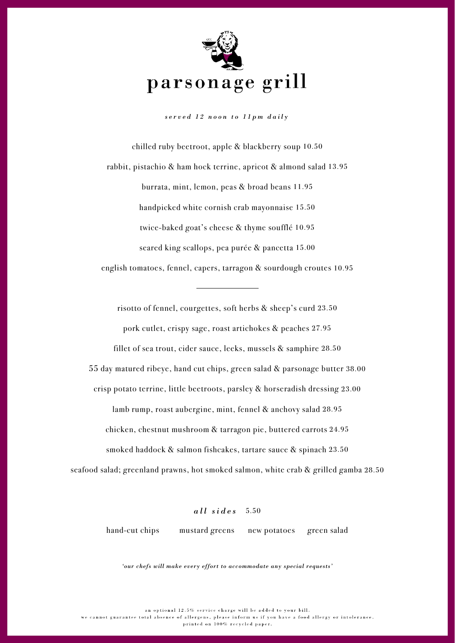

*served 12 noon to 11pm daily*

chilled ruby beetroot, apple & blackberry soup 10.50 rabbit, pistachio & ham hock terrine, apricot & almond salad 13.95 burrata, mint, lemon, peas & broad beans 11.95 handpicked white cornish crab mayonnaise 15.50 twice-baked goat's cheese & thyme soufflé 10.95 seared king scallops, pea purée & pancetta 15.00 english tomatoes, fennel, capers, tarragon & sourdough croutes 10.95

risotto of fennel, courgettes, soft herbs & sheep's curd 23.50 pork cutlet, crispy sage, roast artichokes & peaches 27.95

fillet of sea trout, cider sauce, leeks, mussels & samphire 28.50

55 day matured ribeye, hand cut chips, green salad & parsonage butter 38.00

crisp potato terrine, little beetroots, parsley & horseradish dressing 23.00

lamb rump, roast aubergine, mint, fennel & anchovy salad 28.95

chicken, chestnut mushroom & tarragon pie, buttered carrots 24.95

smoked haddock & salmon fishcakes, tartare sauce & spinach 23.50

seafood salad; greenland prawns, hot smoked salmon, white crab & grilled gamba 28.50

*all sides* 5.50

hand-cut chips mustard greens new potatoes green salad

*'our chefs will make every effort to accommodate any special requests'*